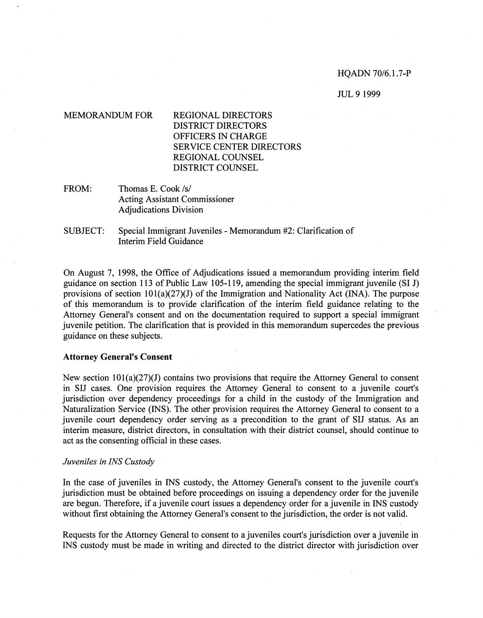## HQADN 70/6.1.7-P

#### JUL 9 1999

# MEMORANDUM FOR REGIONAL DIRECTORS DISTRICT DIRECTORS OFFICERS IN CHARGE SERVICE CENTER DIRECTORS REGIONAL COUNSEL DISTRICT COUNSEL

FROM: Thomas E. Cook /s/ Acting Assistant Commissioner Adjudications Division

SUBJECT: Special Immigrant Juveniles - Memorandum #2: Clarification of Interim Field Guidance

On August 7, 1998, the Office of Adjudications issued a memorandum providing interim field guidance on section 113 of Public Law 105-119, amending the special immigrant juvenile (SI J) provisions of section  $101(a)(27)(J)$  of the Immigration and Nationality Act (INA). The purpose of this memorandum is to provide clarification of the interim field guidance relating to the Attorney General's consent and on the documentation required to support a special immigrant juvenile petition. The clarification that is provided in this memorandum supercedes the previous guidance on these subjects.

## **Attorney General's Consent**

New section  $101(a)(27)(J)$  contains two provisions that require the Attorney General to consent in SIJ cases. One provision requires the Attorney General to consent to a juvenile court's jurisdiction over dependency proceedings for a child in the custody of the Immigration and Naturalization Service (INS). The other provision requires the Attorney General to consent to a juvenile court dependency order serving as a precondition to the grant of SIJ status. As an interim measure, district directors, in consultation with their district counsel, should continue to act as the consenting official in these cases.

## *Juveniles in INS Custody*

In the case of juveniles in INS custody, the Attorney General's consent to the juvenile court's jurisdiction must be obtained before proceedings on issuing a dependency order for the juvenile are begun. Therefore, if a juvenile court issues a dependency order for a juvenile in INS custody without first obtaining the Attorney General's consent to the jurisdiction, the order is not valid.

Requests for the Attorney General to consent to a juveniles court's jurisdiction over a juvenile in INS custody must be made in writing and directed to the district director with jurisdiction over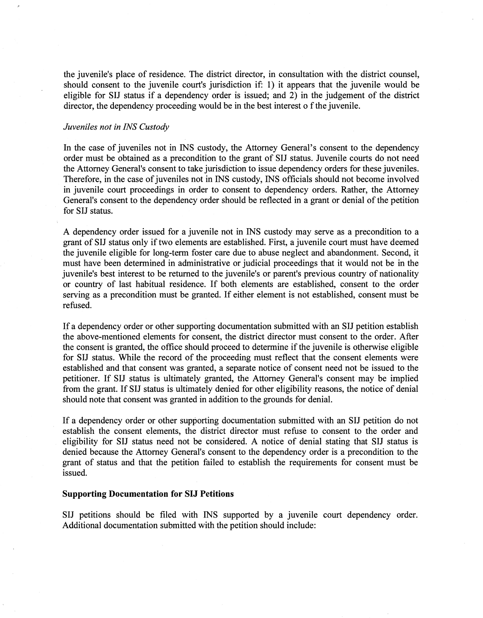the juvenile's place of residence. The district director, in consultation with the district counsel, should consent to the juvenile court's jurisdiction if: 1) it appears that the juvenile would be eligible for SIJ status if a dependency order is issued; and  $\overrightarrow{2}$ ) in the judgement of the district director, the dependency proceeding would be in the best interest o f the juvenile.

# *Juveniles not in INS Custody*

In the case of juveniles not in INS custody, the Attorney General's consent to the dependency order must be obtained as a precondition to the grant of SIJ status. Juvenile courts do not need the Attorney General's consent to take jurisdiction to issue dependency orders for these juveniles. Therefore, in the case of juveniles not in INS custody, INS officials should not become involved in juvenile court proceedings in order to consent to dependency orders. Rather, the Attorney General's consent to the dependency order should be reflected in a grant or denial of the petition for SIJ status.

A dependency order issued for a juvenile not in INS custody may serve as a precondition to a grant of SIJ status only if two elements are established. First, a juvenile court must have deemed the juvenile eligible for long-term foster care due to abuse neglect and abandonment. Second, it must have been determined in administrative or judicial proceedings that it would not be in the juvenile's best interest to be returned to the juvenile's or parent's previous country of nationality or country of last habitual residence. If both elements are established, consent to the order serving as a precondition must be granted. If either element is not established, consent must be refused.

If a dependency order or other supporting documentation submitted with an SIJ petition establish the above-mentioned elements for consent, the district director must consent to the order. After the consent is granted, the office should proceed to determine if the juvenile is otherwise eligible for SIJ status. While the record of the proceeding must reflect that the consent elements were established and that consent was granted, a separate notice of consent need not be issued to the petitioner. If SIJ status is ultimately granted, the Attorney General's consent may be implied from the grant. If SIJ status is ultimately denied for other eligibility reasons, the notice of denial should note that consent was granted in addition to the grounds for denial.

If a dependency order or other supporting documentation submitted with an SIJ petition do not establish the consent elements, the district director must refuse to consent to the order and eligibility for SIJ status need not be considered. A notice of denial stating that SIJ status is denied because the Attorney General's consent to the dependency order is a precondition to the grant of status and that the petition failed to establish the requirements for consent must be issued.

#### **Supporting Documentation for SIJ Petitions**

SIJ petitions should be filed with INS supported by a juvenile court dependency order. Additional documentation submitted with the petition should include: